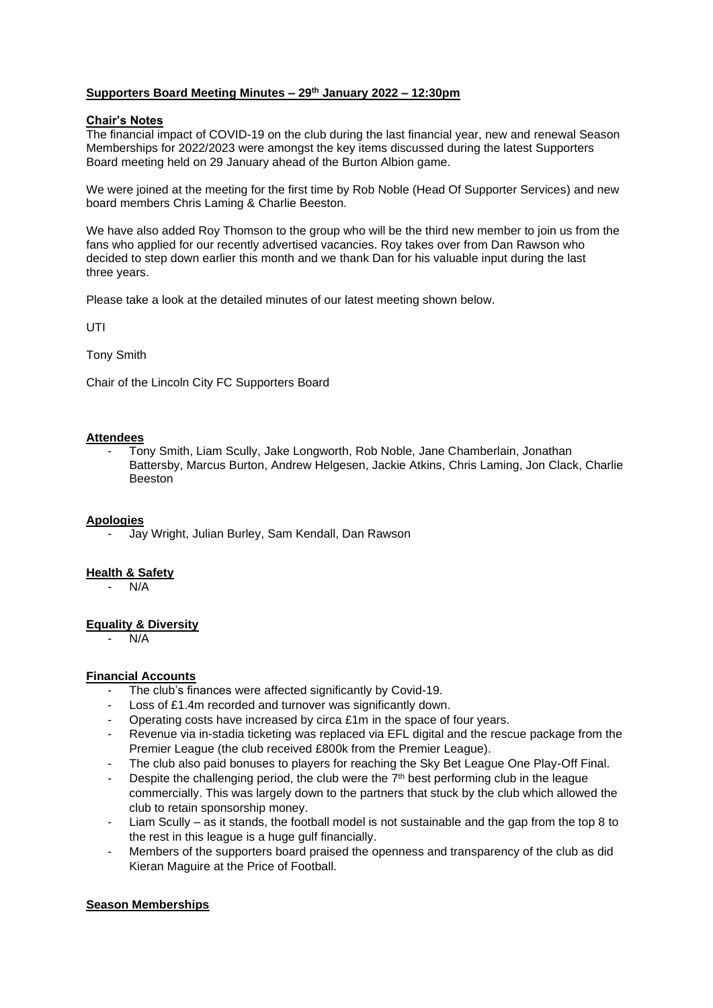# **Supporters Board Meeting Minutes – 29th January 2022 – 12:30pm**

#### **Chair's Notes**

The financial impact of COVID-19 on the club during the last financial year, new and renewal Season Memberships for 2022/2023 were amongst the key items discussed during the latest Supporters Board meeting held on 29 January ahead of the Burton Albion game.

We were joined at the meeting for the first time by Rob Noble (Head Of Supporter Services) and new board members Chris Laming & Charlie Beeston.

We have also added Roy Thomson to the group who will be the third new member to join us from the fans who applied for our recently advertised vacancies. Roy takes over from Dan Rawson who decided to step down earlier this month and we thank Dan for his valuable input during the last three years.

Please take a look at the detailed minutes of our latest meeting shown below.

UTI

Tony Smith

Chair of the Lincoln City FC Supporters Board

#### **Attendees**

- Tony Smith, Liam Scully, Jake Longworth, Rob Noble, Jane Chamberlain, Jonathan Battersby, Marcus Burton, Andrew Helgesen, Jackie Atkins, Chris Laming, Jon Clack, Charlie **Beeston** 

# **Apologies**

- Jay Wright, Julian Burley, Sam Kendall, Dan Rawson

# **Health & Safety**

 $N/A$ 

# **Equality & Diversity**

 $N/A$ 

# **Financial Accounts**

- The club's finances were affected significantly by Covid-19.
- Loss of £1.4m recorded and turnover was significantly down.
- Operating costs have increased by circa £1m in the space of four years.
- Revenue via in-stadia ticketing was replaced via EFL digital and the rescue package from the Premier League (the club received £800k from the Premier League).
- The club also paid bonuses to players for reaching the Sky Bet League One Play-Off Final.
- Despite the challenging period, the club were the  $7<sup>th</sup>$  best performing club in the league commercially. This was largely down to the partners that stuck by the club which allowed the club to retain sponsorship money.
- Liam Scully as it stands, the football model is not sustainable and the gap from the top 8 to the rest in this league is a huge gulf financially.
- Members of the supporters board praised the openness and transparency of the club as did Kieran Maguire at the Price of Football.

# **Season Memberships**